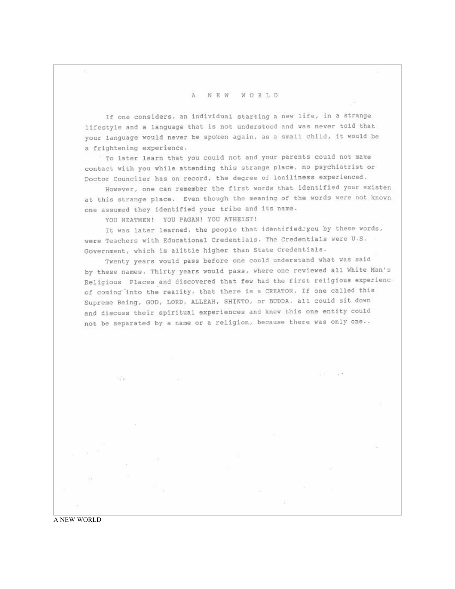## A NEW WORLD

If one considers, an individual starting a new life, in a strange lifestyle and a language that is not understood and was never told that your language would never be spoken again, as a small child, it would be a frightening experience.

To later learn that you could not and your parents could not make contact with you while attending this strange place, no psychiatrist or Doctor Counciler has on record, the degree of loniliness experienced.

However, one can remember the first words that identified your existen at this strange place. Even though the meaning of the words were not known one assumed they identified your tribe and its name.

YOU HEATHEN! YOU PAGAN! YOU ATHEIST!

It was later learned, the people that identified you by these words, were Teachers with Educational Credentials. The Credentials were U.S. Government, which is alittle higher than State Credentials.

Twenty years would pass before one could understand what was said by these names. Thirty years would pass, where one reviewed all White Man's Religious Places and discovered that few had the first religious experiencof coming into the reality, that there is a CREATOR. If one called this Supreme Being, GOD, LORD, ALLEAH, SHINTO, or BUDDA, all could sit down and discuss their spiritual experiences and knew this one entity could not be separated by a name or a religion, because there was only one..

 $\mathcal{O}(\mathcal{C})$